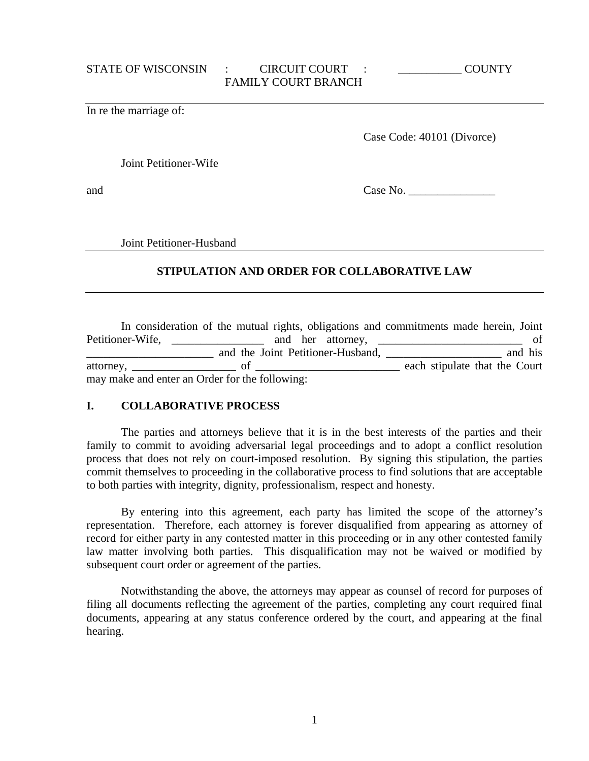In re the marriage of:

Case Code: 40101 (Divorce)

Joint Petitioner-Wife

and Case No. \_\_\_\_\_\_\_\_\_\_\_\_\_\_\_

Joint Petitioner-Husband

# **STIPULATION AND ORDER FOR COLLABORATIVE LAW**

|                                                | In consideration of the mutual rights, obligations and commitments made herein, Joint |                               |         |
|------------------------------------------------|---------------------------------------------------------------------------------------|-------------------------------|---------|
| Petitioner-Wife,                               |                                                                                       |                               | of      |
|                                                | and the Joint Petitioner-Husband,                                                     |                               | and his |
| attorney, of                                   |                                                                                       | each stipulate that the Court |         |
| may make and enter an Order for the following: |                                                                                       |                               |         |

## **I. COLLABORATIVE PROCESS**

 The parties and attorneys believe that it is in the best interests of the parties and their family to commit to avoiding adversarial legal proceedings and to adopt a conflict resolution process that does not rely on court-imposed resolution. By signing this stipulation, the parties commit themselves to proceeding in the collaborative process to find solutions that are acceptable to both parties with integrity, dignity, professionalism, respect and honesty.

 By entering into this agreement, each party has limited the scope of the attorney's representation. Therefore, each attorney is forever disqualified from appearing as attorney of record for either party in any contested matter in this proceeding or in any other contested family law matter involving both parties. This disqualification may not be waived or modified by subsequent court order or agreement of the parties.

 Notwithstanding the above, the attorneys may appear as counsel of record for purposes of filing all documents reflecting the agreement of the parties, completing any court required final documents, appearing at any status conference ordered by the court, and appearing at the final hearing.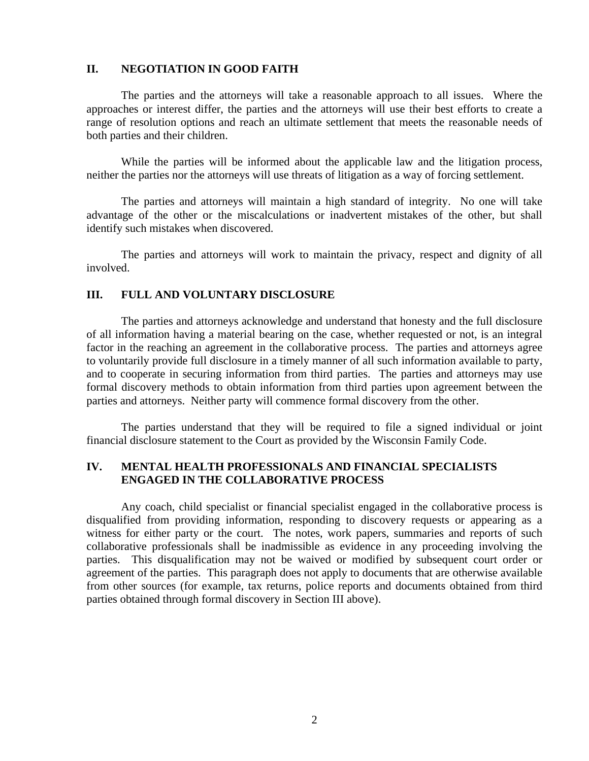#### **II. NEGOTIATION IN GOOD FAITH**

 The parties and the attorneys will take a reasonable approach to all issues. Where the approaches or interest differ, the parties and the attorneys will use their best efforts to create a range of resolution options and reach an ultimate settlement that meets the reasonable needs of both parties and their children.

 While the parties will be informed about the applicable law and the litigation process, neither the parties nor the attorneys will use threats of litigation as a way of forcing settlement.

 The parties and attorneys will maintain a high standard of integrity. No one will take advantage of the other or the miscalculations or inadvertent mistakes of the other, but shall identify such mistakes when discovered.

 The parties and attorneys will work to maintain the privacy, respect and dignity of all involved.

#### **III. FULL AND VOLUNTARY DISCLOSURE**

 The parties and attorneys acknowledge and understand that honesty and the full disclosure of all information having a material bearing on the case, whether requested or not, is an integral factor in the reaching an agreement in the collaborative process. The parties and attorneys agree to voluntarily provide full disclosure in a timely manner of all such information available to party, and to cooperate in securing information from third parties. The parties and attorneys may use formal discovery methods to obtain information from third parties upon agreement between the parties and attorneys. Neither party will commence formal discovery from the other.

 The parties understand that they will be required to file a signed individual or joint financial disclosure statement to the Court as provided by the Wisconsin Family Code.

## **IV. MENTAL HEALTH PROFESSIONALS AND FINANCIAL SPECIALISTS ENGAGED IN THE COLLABORATIVE PROCESS**

 Any coach, child specialist or financial specialist engaged in the collaborative process is disqualified from providing information, responding to discovery requests or appearing as a witness for either party or the court. The notes, work papers, summaries and reports of such collaborative professionals shall be inadmissible as evidence in any proceeding involving the parties. This disqualification may not be waived or modified by subsequent court order or agreement of the parties. This paragraph does not apply to documents that are otherwise available from other sources (for example, tax returns, police reports and documents obtained from third parties obtained through formal discovery in Section III above).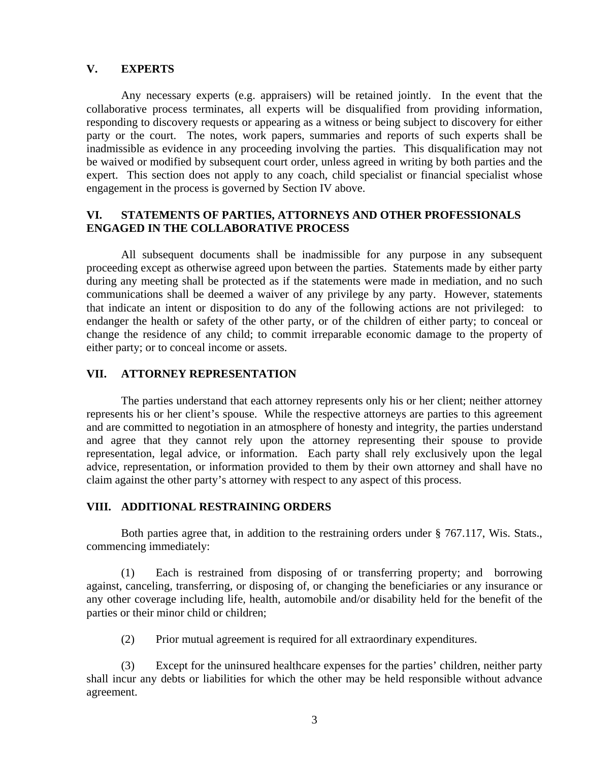## **V. EXPERTS**

 Any necessary experts (e.g. appraisers) will be retained jointly. In the event that the collaborative process terminates, all experts will be disqualified from providing information, responding to discovery requests or appearing as a witness or being subject to discovery for either party or the court. The notes, work papers, summaries and reports of such experts shall be inadmissible as evidence in any proceeding involving the parties. This disqualification may not be waived or modified by subsequent court order, unless agreed in writing by both parties and the expert. This section does not apply to any coach, child specialist or financial specialist whose engagement in the process is governed by Section IV above.

#### **VI. STATEMENTS OF PARTIES, ATTORNEYS AND OTHER PROFESSIONALS ENGAGED IN THE COLLABORATIVE PROCESS**

 All subsequent documents shall be inadmissible for any purpose in any subsequent proceeding except as otherwise agreed upon between the parties. Statements made by either party during any meeting shall be protected as if the statements were made in mediation, and no such communications shall be deemed a waiver of any privilege by any party. However, statements that indicate an intent or disposition to do any of the following actions are not privileged: to endanger the health or safety of the other party, or of the children of either party; to conceal or change the residence of any child; to commit irreparable economic damage to the property of either party; or to conceal income or assets.

#### **VII. ATTORNEY REPRESENTATION**

 The parties understand that each attorney represents only his or her client; neither attorney represents his or her client's spouse. While the respective attorneys are parties to this agreement and are committed to negotiation in an atmosphere of honesty and integrity, the parties understand and agree that they cannot rely upon the attorney representing their spouse to provide representation, legal advice, or information. Each party shall rely exclusively upon the legal advice, representation, or information provided to them by their own attorney and shall have no claim against the other party's attorney with respect to any aspect of this process.

#### **VIII. ADDITIONAL RESTRAINING ORDERS**

 Both parties agree that, in addition to the restraining orders under § 767.117, Wis. Stats., commencing immediately:

 (1) Each is restrained from disposing of or transferring property; and borrowing against, canceling, transferring, or disposing of, or changing the beneficiaries or any insurance or any other coverage including life, health, automobile and/or disability held for the benefit of the parties or their minor child or children;

(2) Prior mutual agreement is required for all extraordinary expenditures.

 (3) Except for the uninsured healthcare expenses for the parties' children, neither party shall incur any debts or liabilities for which the other may be held responsible without advance agreement.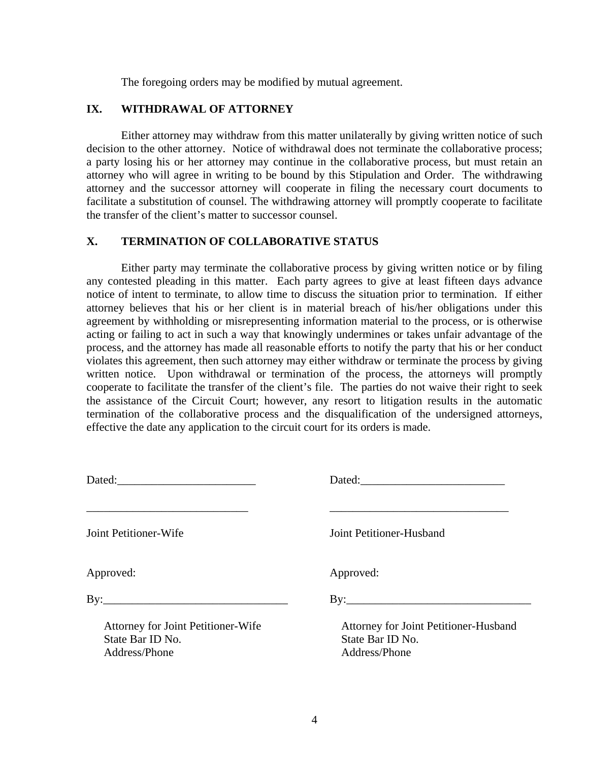The foregoing orders may be modified by mutual agreement.

# **IX. WITHDRAWAL OF ATTORNEY**

 Either attorney may withdraw from this matter unilaterally by giving written notice of such decision to the other attorney. Notice of withdrawal does not terminate the collaborative process; a party losing his or her attorney may continue in the collaborative process, but must retain an attorney who will agree in writing to be bound by this Stipulation and Order. The withdrawing attorney and the successor attorney will cooperate in filing the necessary court documents to facilitate a substitution of counsel. The withdrawing attorney will promptly cooperate to facilitate the transfer of the client's matter to successor counsel.

# **X. TERMINATION OF COLLABORATIVE STATUS**

 Either party may terminate the collaborative process by giving written notice or by filing any contested pleading in this matter. Each party agrees to give at least fifteen days advance notice of intent to terminate, to allow time to discuss the situation prior to termination. If either attorney believes that his or her client is in material breach of his/her obligations under this agreement by withholding or misrepresenting information material to the process, or is otherwise acting or failing to act in such a way that knowingly undermines or takes unfair advantage of the process, and the attorney has made all reasonable efforts to notify the party that his or her conduct violates this agreement, then such attorney may either withdraw or terminate the process by giving written notice. Upon withdrawal or termination of the process, the attorneys will promptly cooperate to facilitate the transfer of the client's file. The parties do not waive their right to seek the assistance of the Circuit Court; however, any resort to litigation results in the automatic termination of the collaborative process and the disqualification of the undersigned attorneys, effective the date any application to the circuit court for its orders is made.

|                                                                         | Dated:                                                                     |
|-------------------------------------------------------------------------|----------------------------------------------------------------------------|
| <b>Joint Petitioner-Wife</b>                                            | Joint Petitioner-Husband                                                   |
| Approved:                                                               | Approved:                                                                  |
|                                                                         | $\mathbf{B} \mathbf{y}$ :                                                  |
| Attorney for Joint Petitioner-Wife<br>State Bar ID No.<br>Address/Phone | Attorney for Joint Petitioner-Husband<br>State Bar ID No.<br>Address/Phone |